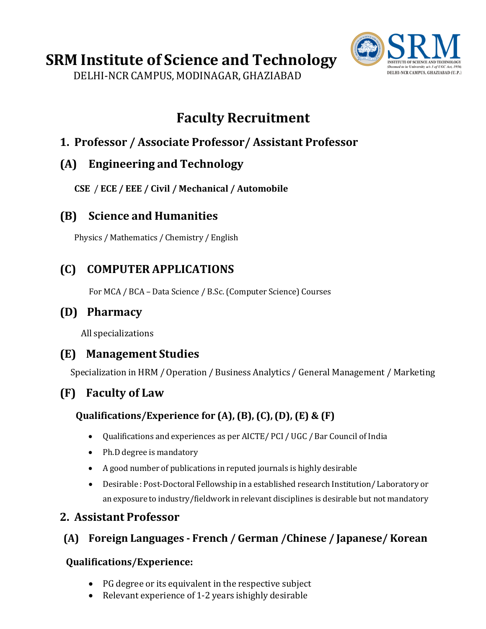# **SRM Institute of Science and Technology**

DELHI-NCR CAMPUS, MODINAGAR, GHAZIABAD



## **Faculty Recruitment**

### **1. Professor / Associate Professor/ Assistant Professor**

#### **(A) Engineering and Technology**

**CSE** / **ECE / EEE / Civil / Mechanical / Automobile**

#### **(B) Science and Humanities**

Physics / Mathematics / Chemistry / English

### **(C) COMPUTER APPLICATIONS**

For MCA / BCA – Data Science / B.Sc. (Computer Science) Courses

#### **(D) Pharmacy**

All specializations

#### **(E) Management Studies**

Specialization in HRM /Operation / Business Analytics / General Management / Marketing

## **(F) Faculty of Law**

#### **Qualifications/Experience for (A), (B), (C), (D), (E) & (F)**

- Qualifications and experiences as per AICTE/ PCI / UGC / Bar Council of India
- Ph.D degree is mandatory
- A good number of publications in reputed journals is highly desirable
- Desirable : Post-Doctoral Fellowship in a established research Institution/ Laboratory or an exposure to industry/fieldwork in relevant disciplines is desirable but not mandatory

### **2. Assistant Professor**

### **(A) Foreign Languages - French / German /Chinese / Japanese/ Korean**

#### **Qualifications/Experience:**

- PG degree or its equivalent in the respective subject
- Relevant experience of 1-2 years ishighly desirable